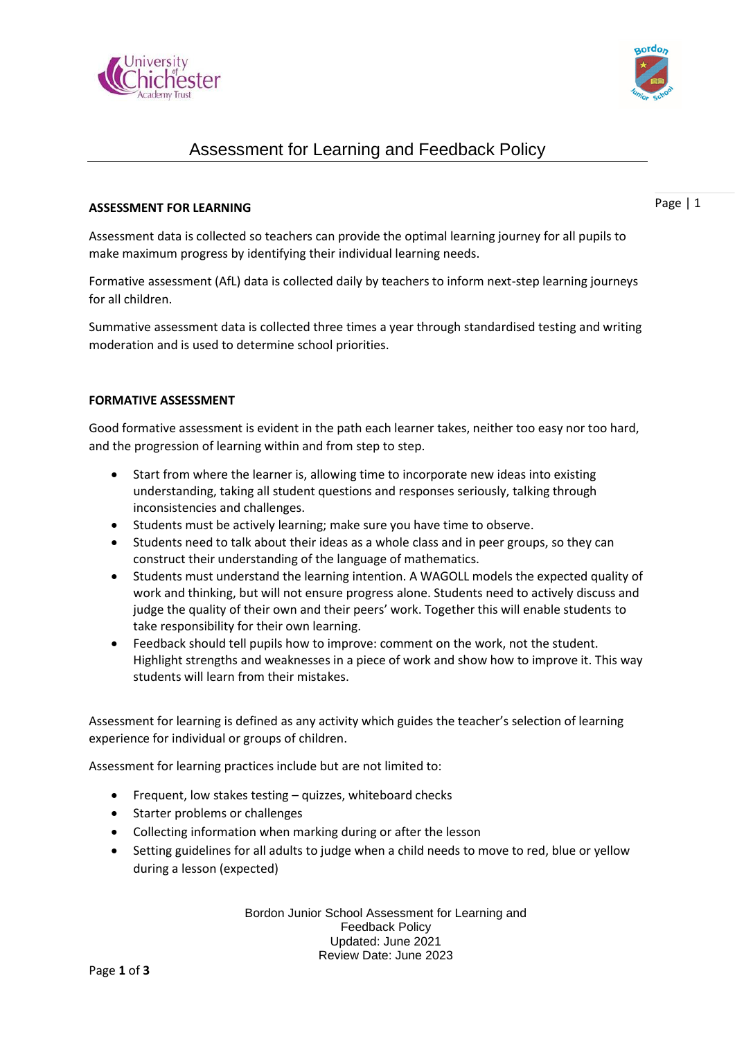



# Assessment for Learning and Feedback Policy

### **ASSESSMENT FOR LEARNING**

Assessment data is collected so teachers can provide the optimal learning journey for all pupils to make maximum progress by identifying their individual learning needs.

Formative assessment (AfL) data is collected daily by teachers to inform next-step learning journeys for all children.

Summative assessment data is collected three times a year through standardised testing and writing moderation and is used to determine school priorities.

## **FORMATIVE ASSESSMENT**

Good formative assessment is evident in the path each learner takes, neither too easy nor too hard, and the progression of learning within and from step to step.

- Start from where the learner is, allowing time to incorporate new ideas into existing understanding, taking all student questions and responses seriously, talking through inconsistencies and challenges.
- Students must be actively learning; make sure you have time to observe.
- Students need to talk about their ideas as a whole class and in peer groups, so they can construct their understanding of the language of mathematics.
- Students must understand the learning intention. A WAGOLL models the expected quality of work and thinking, but will not ensure progress alone. Students need to actively discuss and judge the quality of their own and their peers' work. Together this will enable students to take responsibility for their own learning.
- Feedback should tell pupils how to improve: comment on the work, not the student. Highlight strengths and weaknesses in a piece of work and show how to improve it. This way students will learn from their mistakes.

Assessment for learning is defined as any activity which guides the teacher's selection of learning experience for individual or groups of children.

Assessment for learning practices include but are not limited to:

- Frequent, low stakes testing quizzes, whiteboard checks
- Starter problems or challenges
- Collecting information when marking during or after the lesson
- Setting guidelines for all adults to judge when a child needs to move to red, blue or yellow during a lesson (expected)

Bordon Junior School Assessment for Learning and Feedback Policy Updated: June 2021 Review Date: June 2023

Page | 1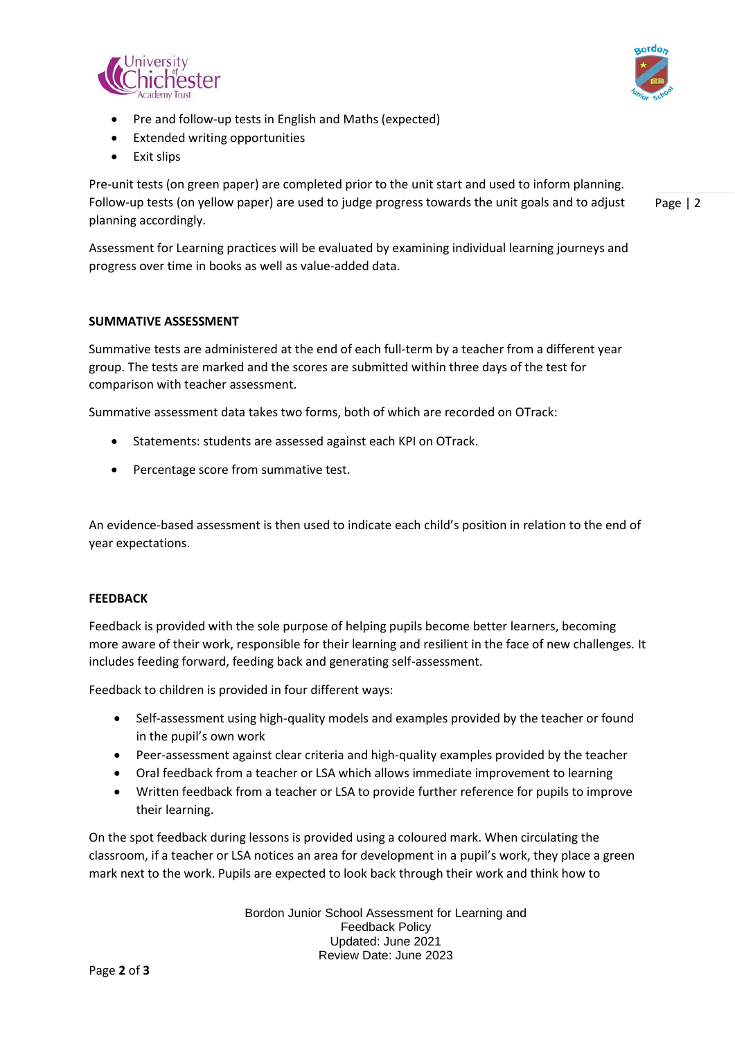



Page | 2

- Pre and follow-up tests in English and Maths (expected)
- Extended writing opportunities
- Exit slips

Pre-unit tests (on green paper) are completed prior to the unit start and used to inform planning. Follow-up tests (on yellow paper) are used to judge progress towards the unit goals and to adjust planning accordingly.

Assessment for Learning practices will be evaluated by examining individual learning journeys and progress over time in books as well as value-added data.

#### **SUMMATIVE ASSESSMENT**

Summative tests are administered at the end of each full-term by a teacher from a different year group. The tests are marked and the scores are submitted within three days of the test for comparison with teacher assessment.

Summative assessment data takes two forms, both of which are recorded on OTrack:

- Statements: students are assessed against each KPI on OTrack.
- Percentage score from summative test.

An evidence-based assessment is then used to indicate each child's position in relation to the end of year expectations.

#### **FEEDBACK**

Feedback is provided with the sole purpose of helping pupils become better learners, becoming more aware of their work, responsible for their learning and resilient in the face of new challenges. It includes feeding forward, feeding back and generating self-assessment.

Feedback to children is provided in four different ways:

- Self-assessment using high-quality models and examples provided by the teacher or found in the pupil's own work
- Peer-assessment against clear criteria and high-quality examples provided by the teacher
- Oral feedback from a teacher or LSA which allows immediate improvement to learning
- Written feedback from a teacher or LSA to provide further reference for pupils to improve their learning.

On the spot feedback during lessons is provided using a coloured mark. When circulating the classroom, if a teacher or LSA notices an area for development in a pupil's work, they place a green mark next to the work. Pupils are expected to look back through their work and think how to

> Bordon Junior School Assessment for Learning and Feedback Policy Updated: June 2021 Review Date: June 2023